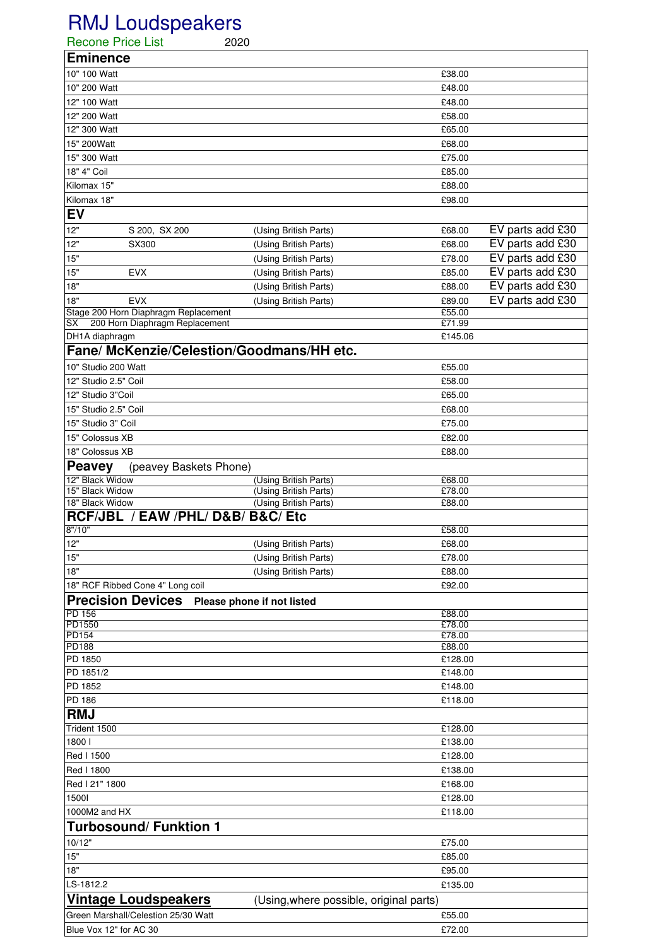## RMJ Loudspeakers

| <b>Recone Price List</b>                                               |                                      | 2020                                           |                  |                  |  |
|------------------------------------------------------------------------|--------------------------------------|------------------------------------------------|------------------|------------------|--|
| <b>Eminence</b>                                                        |                                      |                                                |                  |                  |  |
| 10" 100 Watt                                                           |                                      |                                                | £38.00           |                  |  |
| 10" 200 Watt                                                           |                                      |                                                | £48.00           |                  |  |
| 12" 100 Watt                                                           |                                      |                                                | £48.00           |                  |  |
| 12" 200 Watt                                                           |                                      |                                                | £58.00           |                  |  |
| 12" 300 Watt                                                           |                                      |                                                | £65.00           |                  |  |
| 15" 200Watt                                                            |                                      |                                                | £68.00           |                  |  |
| 15" 300 Watt                                                           |                                      |                                                | £75.00           |                  |  |
| 18" 4" Coil                                                            |                                      |                                                | £85.00           |                  |  |
| Kilomax 15"                                                            |                                      |                                                | £88.00           |                  |  |
| Kilomax 18"                                                            |                                      |                                                | £98.00           |                  |  |
| <b>EV</b>                                                              |                                      |                                                |                  |                  |  |
| 12"                                                                    | S 200, SX 200                        | (Using British Parts)                          | £68.00           | EV parts add £30 |  |
| 12"                                                                    | SX300                                | (Using British Parts)                          | £68.00           | EV parts add £30 |  |
| 15"                                                                    |                                      | (Using British Parts)                          | £78.00           | EV parts add £30 |  |
| 15"                                                                    | <b>EVX</b>                           | (Using British Parts)                          | £85.00           | EV parts add £30 |  |
| $18"$                                                                  |                                      | (Using British Parts)                          | £88.00           | EV parts add £30 |  |
| 18"                                                                    | <b>EVX</b>                           | (Using British Parts)                          | £89.00           | EV parts add £30 |  |
|                                                                        | Stage 200 Horn Diaphragm Replacement |                                                | £55.00           |                  |  |
| SX                                                                     | 200 Horn Diaphragm Replacement       |                                                | £71.99           |                  |  |
| DH1A diaphragm                                                         |                                      |                                                | £145.06          |                  |  |
|                                                                        |                                      | Fane/ McKenzie/Celestion/Goodmans/HH etc.      |                  |                  |  |
| 10" Studio 200 Watt                                                    |                                      |                                                | £55.00           |                  |  |
| 12" Studio 2.5" Coil                                                   |                                      |                                                | £58.00           |                  |  |
| 12" Studio 3"Coil                                                      |                                      |                                                | £65.00           |                  |  |
| 15" Studio 2.5" Coil                                                   |                                      |                                                | £68.00           |                  |  |
| 15" Studio 3" Coil                                                     |                                      |                                                | £75.00           |                  |  |
| 15" Colossus XB                                                        |                                      |                                                | £82.00           |                  |  |
| 18" Colossus XB                                                        |                                      |                                                | £88.00           |                  |  |
| <b>Peavey</b>                                                          | (peavey Baskets Phone)               |                                                |                  |                  |  |
| 12" Black Widow<br>15" Black Widow                                     |                                      | (Using British Parts)                          | £68.00<br>£78.00 |                  |  |
| 18" Black Widow                                                        |                                      | (Using British Parts)<br>(Using British Parts) | £88.00           |                  |  |
| RCF/JBL / EAW /PHL/ D&B/ B&C/ Etc                                      |                                      |                                                |                  |                  |  |
| 8''/10''                                                               |                                      |                                                | £58.00           |                  |  |
| 12"                                                                    |                                      | (Using British Parts)                          | £68.00           |                  |  |
| 15"                                                                    |                                      | (Using British Parts)                          | £78.00           |                  |  |
| 18"                                                                    |                                      | (Using British Parts)                          | £88.00           |                  |  |
|                                                                        | 18" RCF Ribbed Cone 4" Long coil     |                                                | £92.00           |                  |  |
| <b>Precision Devices</b><br>Please phone if not listed                 |                                      |                                                |                  |                  |  |
| <b>PD 156</b>                                                          |                                      |                                                | £88.00           |                  |  |
| PD1550                                                                 |                                      |                                                | £78.00           |                  |  |
| <b>PD154</b><br><b>PD188</b>                                           |                                      |                                                | £78.00<br>£88.00 |                  |  |
| PD 1850                                                                |                                      |                                                | £128.00          |                  |  |
| PD 1851/2                                                              |                                      |                                                | £148.00          |                  |  |
| PD 1852                                                                |                                      |                                                | £148.00          |                  |  |
| PD 186                                                                 |                                      |                                                | £118.00          |                  |  |
| <b>RMJ</b>                                                             |                                      |                                                |                  |                  |  |
| Trident 1500                                                           |                                      |                                                | £128.00          |                  |  |
| 1800                                                                   |                                      |                                                | £138.00          |                  |  |
| Red I 1500                                                             |                                      |                                                | £128.00          |                  |  |
| Red I 1800                                                             |                                      |                                                | £138.00          |                  |  |
| Red I 21" 1800                                                         |                                      |                                                | £168.00          |                  |  |
| 15001                                                                  |                                      |                                                | £128.00          |                  |  |
| 1000M2 and HX                                                          |                                      |                                                | £118.00          |                  |  |
|                                                                        | <b>Turbosound/ Funktion 1</b>        |                                                |                  |                  |  |
| 10/12"                                                                 |                                      |                                                | £75.00           |                  |  |
| 15"                                                                    |                                      |                                                | £85.00           |                  |  |
| 18"                                                                    |                                      |                                                | £95.00           |                  |  |
| LS-1812.2                                                              |                                      |                                                | £135.00          |                  |  |
| <b>Vintage Loudspeakers</b><br>(Using, where possible, original parts) |                                      |                                                |                  |                  |  |
|                                                                        | Green Marshall/Celestion 25/30 Watt  |                                                | £55.00           |                  |  |
| Blue Vox 12" for AC 30                                                 |                                      |                                                | £72.00           |                  |  |
|                                                                        |                                      |                                                |                  |                  |  |